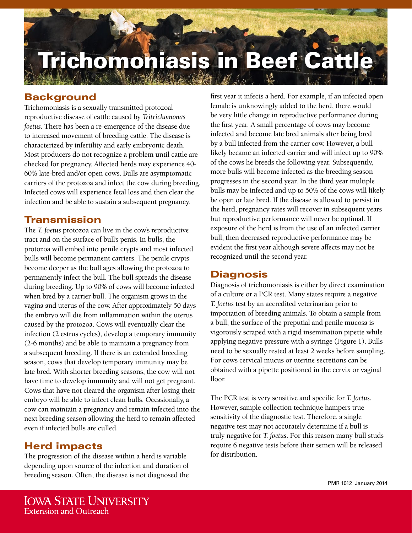# **Trichomoniasis in Beef Cattl**

# **Background**

Trichomoniasis is a sexually transmitted protozoal reproductive disease of cattle caused by *Tritrichomonas foetus*. There has been a re-emergence of the disease due to increased movement of breeding cattle. The disease is characterized by infertility and early embryonic death. Most producers do not recognize a problem until cattle are checked for pregnancy. Affected herds may experience 40- 60% late-bred and/or open cows. Bulls are asymptomatic carriers of the protozoa and infect the cow during breeding. Infected cows will experience fetal loss and then clear the infection and be able to sustain a subsequent pregnancy.

#### Transmission

The *T. foetus* protozoa can live in the cow's reproductive tract and on the surface of bull's penis. In bulls, the protozoa will embed into penile crypts and most infected bulls will become permanent carriers. The penile crypts become deeper as the bull ages allowing the protozoa to permanently infect the bull. The bull spreads the disease during breeding. Up to 90% of cows will become infected when bred by a carrier bull. The organism grows in the vagina and uterus of the cow. After approximately 50 days the embryo will die from inflammation within the uterus caused by the protozoa. Cows will eventually clear the infection (2 estrus cycles), develop a temporary immunity (2-6 months) and be able to maintain a pregnancy from a subsequent breeding. If there is an extended breeding season, cows that develop temporary immunity may be late bred. With shorter breeding seasons, the cow will not have time to develop immunity and will not get pregnant. Cows that have not cleared the organism after losing their embryo will be able to infect clean bulls. Occasionally, a cow can maintain a pregnancy and remain infected into the next breeding season allowing the herd to remain affected even if infected bulls are culled.

## Herd impacts

The progression of the disease within a herd is variable depending upon source of the infection and duration of breeding season. Often, the disease is not diagnosed the

first year it infects a herd. For example, if an infected open female is unknowingly added to the herd, there would be very little change in reproductive performance during the first year. A small percentage of cows may become infected and become late bred animals after being bred by a bull infected from the carrier cow. However, a bull likely became an infected carrier and will infect up to 90% of the cows he breeds the following year. Subsequently, more bulls will become infected as the breeding season progresses in the second year. In the third year multiple bulls may be infected and up to 50% of the cows will likely be open or late bred. If the disease is allowed to persist in the herd, pregnancy rates will recover in subsequent years but reproductive performance will never be optimal. If exposure of the herd is from the use of an infected carrier bull, then decreased reproductive performance may be evident the first year although severe affects may not be recognized until the second year.

## **Diagnosis**

Diagnosis of trichomoniasis is either by direct examination of a culture or a PCR test. Many states require a negative *T. foetus* test by an accredited veterinarian prior to importation of breeding animals. To obtain a sample from a bull, the surface of the preputial and penile mucosa is vigorously scraped with a rigid insemination pipette while applying negative pressure with a syringe (Figure 1). Bulls need to be sexually rested at least 2 weeks before sampling. For cows cervical mucus or uterine secretions can be obtained with a pipette positioned in the cervix or vaginal floor.

The PCR test is very sensitive and specific for *T. foetus*. However, sample collection technique hampers true sensitivity of the diagnostic test. Therefore, a single negative test may not accurately determine if a bull is truly negative for *T. foetus*. For this reason many bull studs require 6 negative tests before their semen will be released for distribution.